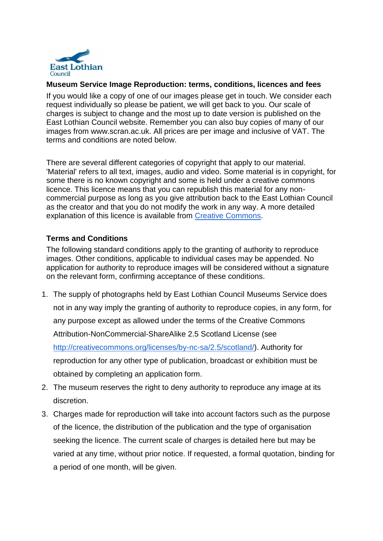

## **Museum Service Image Reproduction: terms, conditions, licences and fees**

If you would like a copy of one of our images please get in touch. We consider each request individually so please be patient, we will get back to you. Our scale of charges is subject to change and the most up to date version is published on the East Lothian Council website. Remember you can also buy copies of many of our images from www.scran.ac.uk. All prices are per image and inclusive of VAT. The terms and conditions are noted below.

There are several different categories of copyright that apply to our material. 'Material' refers to all text, images, audio and video. Some material is in copyright, for some there is no known copyright and some is held under a creative commons licence. This licence means that you can republish this material for any noncommercial purpose as long as you give attribution back to the East Lothian Council as the creator and that you do not modify the work in any way. A more detailed explanation of this licence is available from [Creative Commons.](http://creativecommons.org/licenses/by-nc-sa/2.5/scotland/)

## **Terms and Conditions**

The following standard conditions apply to the granting of authority to reproduce images. Other conditions, applicable to individual cases may be appended. No application for authority to reproduce images will be considered without a signature on the relevant form, confirming acceptance of these conditions.

- 1. The supply of photographs held by East Lothian Council Museums Service does not in any way imply the granting of authority to reproduce copies, in any form, for any purpose except as allowed under the terms of the Creative Commons Attribution-NonCommercial-ShareAlike 2.5 Scotland License (see [http://creativecommons.org/licenses/by-nc-sa/2.5/scotland/\)](http://creativecommons.org/licenses/by-nc-sa/2.5/scotland/). Authority for reproduction for any other type of publication, broadcast or exhibition must be obtained by completing an application form.
- 2. The museum reserves the right to deny authority to reproduce any image at its discretion.
- 3. Charges made for reproduction will take into account factors such as the purpose of the licence, the distribution of the publication and the type of organisation seeking the licence. The current scale of charges is detailed here but may be varied at any time, without prior notice. If requested, a formal quotation, binding for a period of one month, will be given.